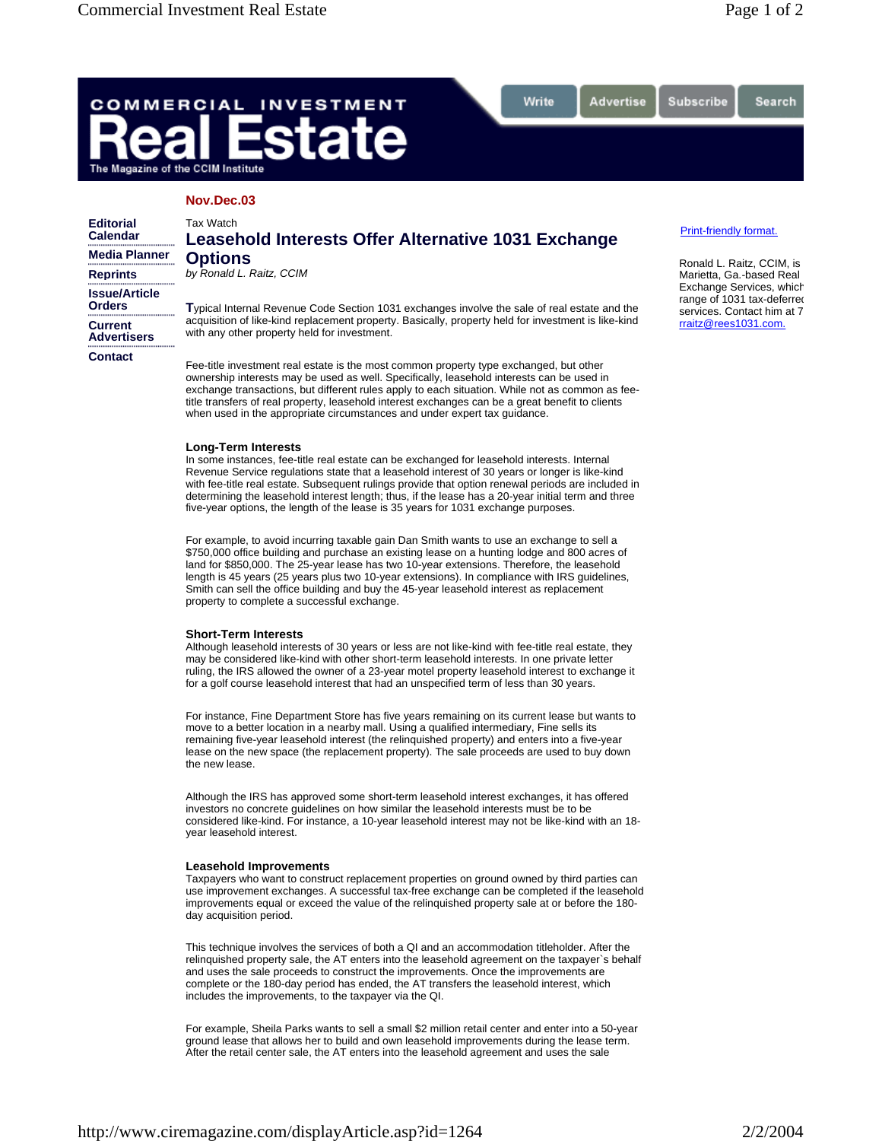Search

# COMMERCIAL **INVESTMENT** ate The Magazine of the CCIM Institute

# **Nov.Dec.03**

| <b>Editorial</b><br><b>Calendar</b>   | Tax Watch<br>Leasehold Interests Offer Alternative 1031 Exchange                                                                                                                                                                                                                                                                                                                                                                                                        | Print-friendly format.                                                                                            |
|---------------------------------------|-------------------------------------------------------------------------------------------------------------------------------------------------------------------------------------------------------------------------------------------------------------------------------------------------------------------------------------------------------------------------------------------------------------------------------------------------------------------------|-------------------------------------------------------------------------------------------------------------------|
| <b>Media Planner</b>                  | <b>Options</b><br>by Ronald L. Raitz, CCIM                                                                                                                                                                                                                                                                                                                                                                                                                              | Ronald L. Raitz, CCI                                                                                              |
| <b>Reprints</b>                       |                                                                                                                                                                                                                                                                                                                                                                                                                                                                         | Marietta, Ga.-based<br>Exchange Services,<br>range of 1031 tax-de<br>services. Contact hir<br>rraitz@rees1031.cor |
| <b>Issue/Article</b><br><b>Orders</b> | Typical Internal Revenue Code Section 1031 exchanges involve the sale of real estate and the<br>acquisition of like-kind replacement property. Basically, property held for investment is like-kind<br>with any other property held for investment.                                                                                                                                                                                                                     |                                                                                                                   |
| <b>Current</b><br><b>Advertisers</b>  |                                                                                                                                                                                                                                                                                                                                                                                                                                                                         |                                                                                                                   |
| Contact                               | Fee-title investment real estate is the most common property type exchanged, but other<br>ownership interests may be used as well. Specifically, leasehold interests can be used in<br>exchange transactions, but different rules apply to each situation. While not as common as fee-<br>title transfers of real property, leasehold interest exchanges can be a great benefit to clients<br>when used in the appropriate circumstances and under expert tax quidance. |                                                                                                                   |

Write

Advertise

### **Long-Term Interests**

In some instances, fee-title real estate can be exchanged for leasehold interests. Internal Revenue Service regulations state that a leasehold interest of 30 years or longer is like-kind with fee-title real estate. Subsequent rulings provide that option renewal periods are included in determining the leasehold interest length; thus, if the lease has a 20-year initial term and three five-year options, the length of the lease is 35 years for 1031 exchange purposes.

For example, to avoid incurring taxable gain Dan Smith wants to use an exchange to sell a \$750,000 office building and purchase an existing lease on a hunting lodge and 800 acres of land for \$850,000. The 25-year lease has two 10-year extensions. Therefore, the leasehold length is 45 years (25 years plus two 10-year extensions). In compliance with IRS guidelines, Smith can sell the office building and buy the 45-year leasehold interest as replacement property to complete a successful exchange.

### **Short-Term Interests**

Although leasehold interests of 30 years or less are not like-kind with fee-title real estate, they may be considered like-kind with other short-term leasehold interests. In one private letter ruling, the IRS allowed the owner of a 23-year motel property leasehold interest to exchange it for a golf course leasehold interest that had an unspecified term of less than 30 years.

For instance, Fine Department Store has five years remaining on its current lease but wants to move to a better location in a nearby mall. Using a qualified intermediary, Fine sells its remaining five-year leasehold interest (the relinquished property) and enters into a five-year lease on the new space (the replacement property). The sale proceeds are used to buy down the new lease.

Although the IRS has approved some short-term leasehold interest exchanges, it has offered investors no concrete guidelines on how similar the leasehold interests must be to be considered like-kind. For instance, a 10-year leasehold interest may not be like-kind with an 18 year leasehold interest.

### **Leasehold Improvements**

Taxpayers who want to construct replacement properties on ground owned by third parties can use improvement exchanges. A successful tax-free exchange can be completed if the leasehold improvements equal or exceed the value of the relinquished property sale at or before the 180 day acquisition period.

This technique involves the services of both a QI and an accommodation titleholder. After the relinquished property sale, the AT enters into the leasehold agreement on the taxpayer`s behalf and uses the sale proceeds to construct the improvements. Once the improvements are complete or the 180-day period has ended, the AT transfers the leasehold interest, which includes the improvements, to the taxpayer via the QI.

For example, Sheila Parks wants to sell a small \$2 million retail center and enter into a 50-year ground lease that allows her to build and own leasehold improvements during the lease term. After the retail center sale, the AT enters into the leasehold agreement and uses the sale

Subscribe

IM, is Real which eferred m at 7 rraitz@rees1031.com.